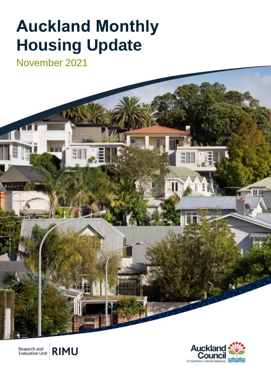# **Auckland Monthly Housing Update**

November 2021





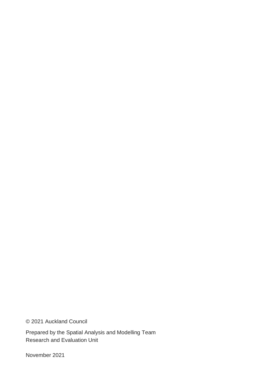© 2021 Auckland Council

Prepared by the Spatial Analysis and Modelling Team Research and Evaluation Unit

November 2021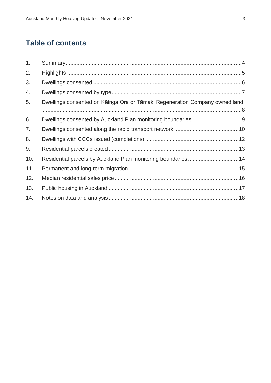# **Table of contents**

| 1.  |                                                                             |  |
|-----|-----------------------------------------------------------------------------|--|
| 2.  |                                                                             |  |
| 3.  |                                                                             |  |
| 4.  |                                                                             |  |
| 5.  | Dwellings consented on Kāinga Ora or Tāmaki Regeneration Company owned land |  |
| 6.  |                                                                             |  |
| 7.  |                                                                             |  |
| 8.  |                                                                             |  |
| 9.  |                                                                             |  |
| 10. | Residential parcels by Auckland Plan monitoring boundaries14                |  |
| 11. |                                                                             |  |
| 12. |                                                                             |  |
| 13. |                                                                             |  |
| 14. |                                                                             |  |
|     |                                                                             |  |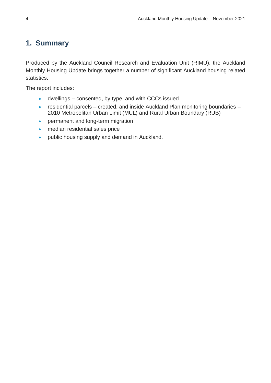# <span id="page-3-0"></span>**1. Summary**

Produced by the Auckland Council Research and Evaluation Unit (RIMU), the Auckland Monthly Housing Update brings together a number of significant Auckland housing related statistics.

The report includes:

- dwellings consented, by type, and with CCCs issued
- residential parcels created, and inside Auckland Plan monitoring boundaries 2010 Metropolitan Urban Limit (MUL) and Rural Urban Boundary (RUB)
- permanent and long-term migration
- median residential sales price
- public housing supply and demand in Auckland.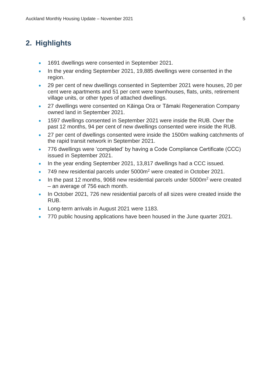### <span id="page-4-0"></span>**2. Highlights**

- 1691 dwellings were consented in September 2021.
- In the year ending September 2021, 19,885 dwellings were consented in the region.
- 29 per cent of new dwellings consented in September 2021 were houses, 20 per cent were apartments and 51 per cent were townhouses, flats, units, retirement village units, or other types of attached dwellings.
- 27 dwellings were consented on Kāinga Ora or Tāmaki Regeneration Company owned land in September 2021.
- 1597 dwellings consented in September 2021 were inside the RUB. Over the past 12 months, 94 per cent of new dwellings consented were inside the RUB.
- 27 per cent of dwellings consented were inside the 1500m walking catchments of the rapid transit network in September 2021.
- 776 dwellings were 'completed' by having a Code Compliance Certificate (CCC) issued in September 2021.
- In the year ending September 2021, 13,817 dwellings had a CCC issued.
- 749 new residential parcels under 5000m<sup>2</sup> were created in October 2021.
- In the past 12 months, 9068 new residential parcels under 5000m<sup>2</sup> were created – an average of 756 each month.
- In October 2021, 726 new residential parcels of all sizes were created inside the RUB.
- Long-term arrivals in August 2021 were 1183.
- 770 public housing applications have been housed in the June quarter 2021.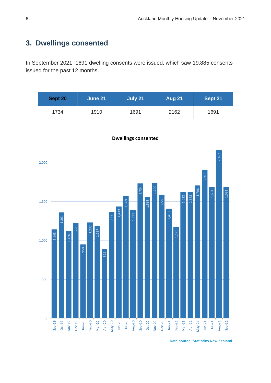# <span id="page-5-0"></span>**3. Dwellings consented**

In September 2021, 1691 dwelling consents were issued, which saw 19,885 consents issued for the past 12 months.

| Sept 20 | June 21 | July 21 | <b>Aug 21</b> | Sept 21 |
|---------|---------|---------|---------------|---------|
| 1734    | 1910    | 1691    | 2162          | 1691    |



**Dwellings consented**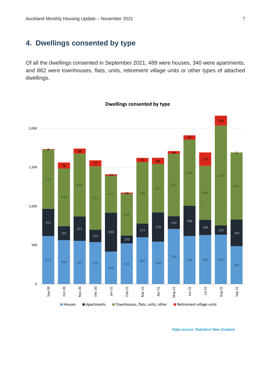# <span id="page-6-0"></span>**4. Dwellings consented by type**

Of all the dwellings consented in September 2021, 489 were houses, 340 were apartments, and 862 were townhouses, flats, units, retirement village units or other types of attached dwellings.



#### **Dwellings consented by type**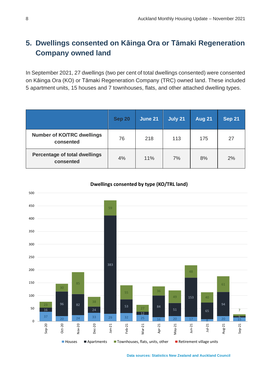# <span id="page-7-0"></span>**5. Dwellings consented on Kāinga Ora or Tāmaki Regeneration Company owned land**

In September 2021, 27 dwellings (two per cent of total dwellings consented) were consented on Kāinga Ora (KO) or Tāmaki Regeneration Company (TRC) owned land. These included 5 apartment units, 15 houses and 7 townhouses, flats, and other attached dwelling types.

|                                                | <b>Sep 20</b> | <b>June 21</b> | July 21 | <b>Aug 21</b> | <b>Sep 21</b> |
|------------------------------------------------|---------------|----------------|---------|---------------|---------------|
| <b>Number of KO/TRC dwellings</b><br>consented | 76            | 218            | 113     | 175           | 27            |
| Percentage of total dwellings<br>consented     | 4%            | 11%            | 7%      | 8%            | 2%            |



#### **Dwellings consented by type (KO/TRL land)**

**Data sources: Statistics New Zealand and Auckland Council**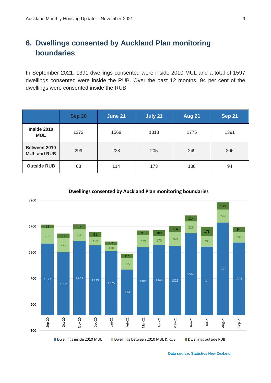# <span id="page-8-0"></span>**6. Dwellings consented by Auckland Plan monitoring boundaries**

In September 2021, 1391 dwellings consented were inside 2010 MUL and a total of 1597 dwellings consented were inside the RUB. Over the past 12 months, 94 per cent of the dwellings were consented inside the RUB.

|                                    | <b>Sep 20</b> | June 21 | July 21 | <b>Aug 21</b> | <b>Sep 21</b> |
|------------------------------------|---------------|---------|---------|---------------|---------------|
| Inside 2010<br><b>MUL</b>          | 1372          | 1568    | 1313    | 1775          | 1391          |
| Between 2010<br><b>MUL and RUB</b> | 299           | 228     | 205     | 249           | 206           |
| <b>Outside RUB</b>                 | 63            | 114     | 173     | 138           | 94            |



#### **Dwellings consented by Auckland Plan monitoring boundaries**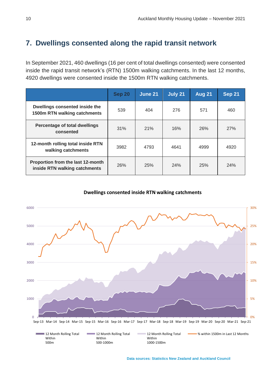### <span id="page-9-0"></span>**7. Dwellings consented along the rapid transit network**

In September 2021, 460 dwellings (16 per cent of total dwellings consented) were consented inside the rapid transit network's (RTN) 1500m walking catchments. In the last 12 months, 4920 dwellings were consented inside the 1500m RTN walking catchments.

|                                                                    | <b>Sep 20</b> | June 21 | July 21 | <b>Aug 21</b> | <b>Sep 21</b> |
|--------------------------------------------------------------------|---------------|---------|---------|---------------|---------------|
| Dwellings consented inside the<br>1500m RTN walking catchments     | 539           | 404     | 276     | 571           | 460           |
| Percentage of total dwellings<br>consented                         | 31%           | 21%     | 16%     | 26%           | 27%           |
| 12-month rolling total inside RTN<br>walking catchments            | 3982          | 4793    | 4641    | 4999          | 4920          |
| Proportion from the last 12-month<br>inside RTN walking catchments | 26%           | 25%     | 24%     | 25%           | 24%           |

**Dwellings consented inside RTN walking catchments**

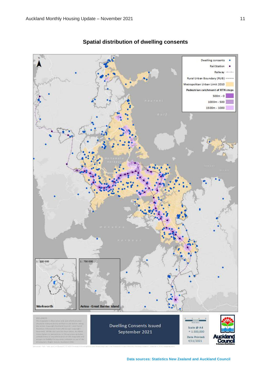

### **Spatial distribution of dwelling consents**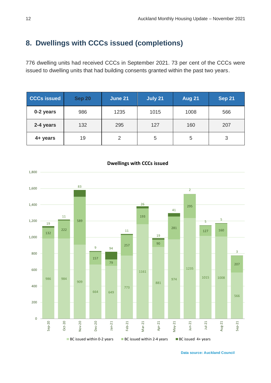# <span id="page-11-0"></span>**8. Dwellings with CCCs issued (completions)**

 dwelling units had received CCCs in September 2021. 73 per cent of the CCCs were issued to dwelling units that had building consents granted within the past two years.

| <b>CCCs issued</b> | <b>Sep 20</b> | June 21 | July 21 | <b>Aug 21</b> | <b>Sep 21</b> |
|--------------------|---------------|---------|---------|---------------|---------------|
| 0-2 years          | 986           | 1235    | 1015    | 1008          | 566           |
| 2-4 years          | 132           | 295     | 127     | 160           | 207           |
| 4+ years           | 19            | 2       | 5       | 5             | 3             |



#### **Dwellings with CCCs issued**

**Data source: Auckland Council**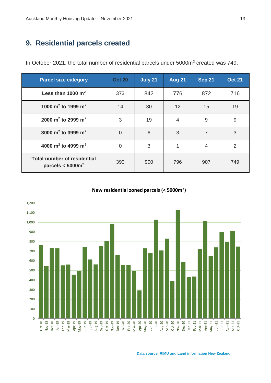# <span id="page-12-0"></span>**9. Residential parcels created**

In October 2021, the total number of residential parcels under 5000m<sup>2</sup> created was 749.

| <b>Parcel size category</b>                                           | <b>Oct 20</b>  | July 21 | <b>Aug 21</b>   | <b>Sep 21</b>  | <b>Oct 21</b>  |
|-----------------------------------------------------------------------|----------------|---------|-----------------|----------------|----------------|
| Less than 1000 $m^2$                                                  | 373            | 842     | 776             | 872            | 716            |
| 1000 m <sup>2</sup> to 1999 m <sup>2</sup>                            | 14             | 30      | 12 <sup>2</sup> | 15             | 19             |
| 2000 m <sup>2</sup> to 2999 m <sup>2</sup>                            | 3              | 19      | $\overline{4}$  | 9              | 9              |
| 3000 m <sup>2</sup> to 3999 m <sup>2</sup>                            | $\overline{0}$ | 6       | 3               | $\overline{7}$ | 3              |
| 4000 m <sup>2</sup> to 4999 m <sup>2</sup>                            | $\overline{0}$ | 3       |                 | $\overline{4}$ | $\overline{2}$ |
| <b>Total number of residential</b><br>parcels $<$ 5000 $\mathrm{m}^2$ | 390            | 900     | 796             | 907            | 749            |

#### **New residential zoned parcels (< 5000m<sup>2</sup> )**



**Data source: RIMU and Land information New Zealand**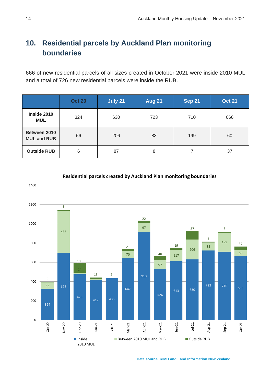# <span id="page-13-0"></span>**10. Residential parcels by Auckland Plan monitoring boundaries**

 of new residential parcels of all sizes created in October 2021 were inside 2010 MUL and a total of 726 new residential parcels were inside the RUB.

|                                    | <b>Oct 20</b> | July 21 | <b>Aug 21</b> | <b>Sep 21</b> | <b>Oct 21</b> |
|------------------------------------|---------------|---------|---------------|---------------|---------------|
| Inside 2010<br><b>MUL</b>          | 324           | 630     | 723           | 710           | 666           |
| Between 2010<br><b>MUL and RUB</b> | 66            | 206     | 83            | 199           | 60            |
| <b>Outside RUB</b>                 | 6             | 87      | 8             |               | 37            |



**Residential parcels created by Auckland Plan monitoring boundaries**

**Data source: RIMU and Land Information New Zealand**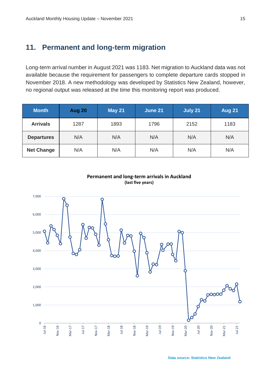### <span id="page-14-0"></span>**11. Permanent and long-term migration**

Long-term arrival number in August 2021 was 1183. Net migration to Auckland data was not available because the requirement for passengers to complete departure cards stopped in November 2018. A new methodology was developed by Statistics New Zealand, however, no regional output was released at the time this monitoring report was produced.

| <b>Month</b>      | Aug 20 | <b>May 21</b> | June 21 | July 21 | <b>Aug 21</b> |
|-------------------|--------|---------------|---------|---------|---------------|
| <b>Arrivals</b>   | 1287   | 1893          | 1796    | 2152    | 1183          |
| <b>Departures</b> | N/A    | N/A           | N/A     | N/A     | N/A           |
| <b>Net Change</b> | N/A    | N/A           | N/A     | N/A     | N/A           |

![](_page_14_Figure_4.jpeg)

### **Permanent and long-term arrivals in Auckland (last five years)**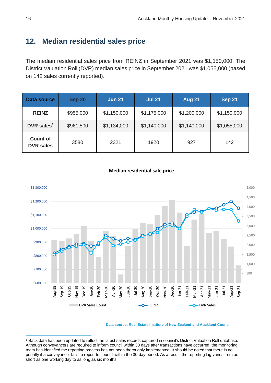# <span id="page-15-0"></span>**12. Median residential sales price**

The median residential sales price from REINZ in September 2021 was \$1,150,000. The District Valuation Roll (DVR) median sales price in September 2021 was \$1,055,000 (based on 142 sales currently reported).

| <b>Data source</b>                  | <b>Sep 20</b> | <b>Jun 21</b> | <b>Jul 21</b> | <b>Aug 21</b> | <b>Sep 21</b> |
|-------------------------------------|---------------|---------------|---------------|---------------|---------------|
| <b>REINZ</b>                        | \$955,000     | \$1,150,000   | \$1,175,000   | \$1,200,000   | \$1,150,000   |
| DVR sales $1$                       | \$961,500     | \$1,134,000   | \$1,140,000   | \$1,140,000   | \$1,055,000   |
| <b>Count of</b><br><b>DVR sales</b> | 3580          | 2321          | 1920          | 927           | 142           |

![](_page_15_Figure_4.jpeg)

![](_page_15_Figure_5.jpeg)

**Data source: Real Estate Institute of New Zealand and Auckland Council**

<sup>1</sup> Back data has been updated to reflect the latest sales records captured in council's District Valuation Roll database. Although conveyancers are required to inform council within 30 days after transactions have occurred, the monitoring team has identified the reporting process has not been thoroughly implemented. It should be noted that there is no penalty if a conveyancer fails to report to council within the 30-day period. As a result, the reporting lag varies from as short as one working day to as long as six months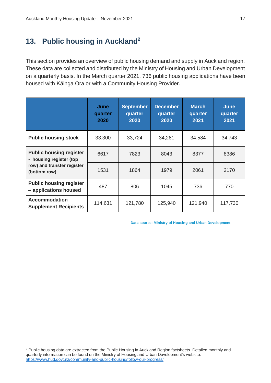# <span id="page-16-0"></span>**13. Public housing in Auckland<sup>2</sup>**

This section provides an overview of public housing demand and supply in Auckland region. These data are collected and distributed by the Ministry of Housing and Urban Development on a quarterly basis. In the March quarter 2021, 736 public housing applications have been housed with Kāinga Ora or with a Community Housing Provider.

|                                                           | June<br>quarter<br>2020 | <b>September</b><br>quarter<br>2020 | <b>December</b><br>quarter<br>2020 | <b>March</b><br>quarter<br>2021 | <b>June</b><br>quarter<br>2021 |
|-----------------------------------------------------------|-------------------------|-------------------------------------|------------------------------------|---------------------------------|--------------------------------|
| <b>Public housing stock</b>                               | 33,300                  | 33,724                              | 34,281                             | 34,584                          | 34,743                         |
| <b>Public housing register</b><br>- housing register (top | 6617                    | 7823                                | 8043                               | 8377                            | 8386                           |
| row) and transfer register<br>(bottom row)                | 1531                    | 1864                                | 1979                               | 2061                            | 2170                           |
| <b>Public housing register</b><br>- applications housed   | 487                     | 806                                 | 1045                               | 736                             | 770                            |
| <b>Accommodation</b><br><b>Supplement Recipients</b>      | 114,631                 | 121,780                             | 125,940                            | 121,940                         | 117,730                        |

 **Data source: Ministry of Housing and Urban Development**

<sup>&</sup>lt;sup>2</sup> Public housing data are extracted from the Public Housing in Auckland Region factsheets. Detailed monthly and quarterly information can be found on the Ministry of Housing and Urban Development's website. <https://www.hud.govt.nz/community-and-public-housing/follow-our-progress/>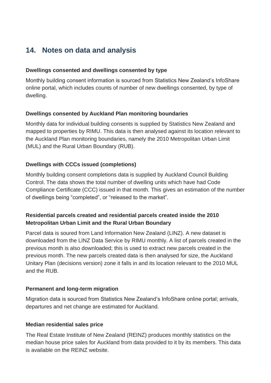# <span id="page-17-0"></span>**14. Notes on data and analysis**

### **Dwellings consented and dwellings consented by type**

Monthly building consent information is sourced from Statistics New Zealand's InfoShare online portal, which includes counts of number of new dwellings consented, by type of dwelling.

### **Dwellings consented by Auckland Plan monitoring boundaries**

Monthly data for individual building consents is supplied by Statistics New Zealand and mapped to properties by RIMU. This data is then analysed against its location relevant to the Auckland Plan monitoring boundaries, namely the 2010 Metropolitan Urban Limit (MUL) and the Rural Urban Boundary (RUB).

### **Dwellings with CCCs issued (completions)**

Monthly building consent completions data is supplied by Auckland Council Building Control. The data shows the total number of dwelling units which have had Code Compliance Certificate (CCC) issued in that month. This gives an estimation of the number of dwellings being "completed", or "released to the market".

### **Residential parcels created and residential parcels created inside the 2010 Metropolitan Urban Limit and the Rural Urban Boundary**

Parcel data is soured from Land Information New Zealand (LINZ). A new dataset is downloaded from the LINZ Data Service by RIMU monthly. A list of parcels created in the previous month is also downloaded; this is used to extract new parcels created in the previous month. The new parcels created data is then analysed for size, the Auckland Unitary Plan (decisions version) zone it falls in and its location relevant to the 2010 MUL and the RUB.

### **Permanent and long-term migration**

Migration data is sourced from Statistics New Zealand's InfoShare online portal; arrivals, departures and net change are estimated for Auckland.

### **Median residential sales price**

The Real Estate Institute of New Zealand (REINZ) produces monthly statistics on the median house price sales for Auckland from data provided to it by its members. This data is available on the REINZ website.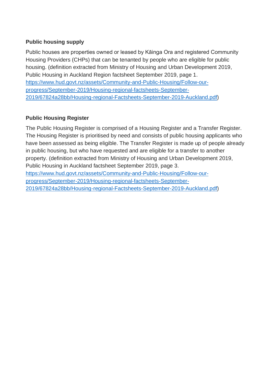### **Public housing supply**

Public houses are properties owned or leased by Kāinga Ora and registered Community Housing Providers (CHPs) that can be tenanted by people who are eligible for public housing. (definition extracted from Ministry of Housing and Urban Development 2019, Public Housing in Auckland Region factsheet September 2019, page 1. [https://www.hud.govt.nz/assets/Community-and-Public-Housing/Follow-our](https://www.hud.govt.nz/assets/Community-and-Public-Housing/Follow-our-progress/September-2019/Housing-regional-factsheets-September-2019/67824a28bb/Housing-regional-Factsheets-September-2019-Auckland.pdf)[progress/September-2019/Housing-regional-factsheets-September-](https://www.hud.govt.nz/assets/Community-and-Public-Housing/Follow-our-progress/September-2019/Housing-regional-factsheets-September-2019/67824a28bb/Housing-regional-Factsheets-September-2019-Auckland.pdf)[2019/67824a28bb/Housing-regional-Factsheets-September-2019-Auckland.pdf\)](https://www.hud.govt.nz/assets/Community-and-Public-Housing/Follow-our-progress/September-2019/Housing-regional-factsheets-September-2019/67824a28bb/Housing-regional-Factsheets-September-2019-Auckland.pdf)

### **Public Housing Register**

The Public Housing Register is comprised of a Housing Register and a Transfer Register. The Housing Register is prioritised by need and consists of public housing applicants who have been assessed as being eligible. The Transfer Register is made up of people already in public housing, but who have requested and are eligible for a transfer to another property. (definition extracted from Ministry of Housing and Urban Development 2019, Public Housing in Auckland factsheet September 2019, page 3. [https://www.hud.govt.nz/assets/Community-and-Public-Housing/Follow-our](https://www.hud.govt.nz/assets/Community-and-Public-Housing/Follow-our-progress/September-2019/Housing-regional-factsheets-September-2019/67824a28bb/Housing-regional-Factsheets-September-2019-Auckland.pdf)[progress/September-2019/Housing-regional-factsheets-September-](https://www.hud.govt.nz/assets/Community-and-Public-Housing/Follow-our-progress/September-2019/Housing-regional-factsheets-September-2019/67824a28bb/Housing-regional-Factsheets-September-2019-Auckland.pdf)[2019/67824a28bb/Housing-regional-Factsheets-September-2019-Auckland.pdf\)](https://www.hud.govt.nz/assets/Community-and-Public-Housing/Follow-our-progress/September-2019/Housing-regional-factsheets-September-2019/67824a28bb/Housing-regional-Factsheets-September-2019-Auckland.pdf)